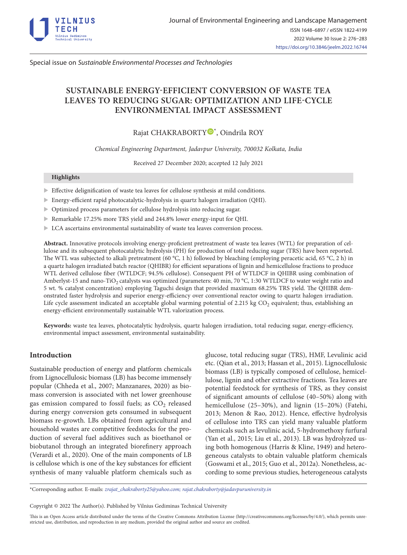

Special issue on *Sustainable Environmental Processes and Technologies*

# **SUSTAINABLE ENERGY-EFFICIENT CONVERSION OF WASTE TEA LEAVES TO REDUCING SUGAR: OPTIMIZATION AND LIFE-CYCLE ENVIRONMENTAL IMPACT ASSESSMENT**

# Rajat CHAKRABORTY<sup>®[\\*](http://orcid.org/0000-0002-4599-135X)</sup>, Oindrila ROY

*Chemical Engineering Department, Jadavpur University, 700032 Kolkata, India*

Received 27 December 2020; accepted 12 July 2021

# **Highlights**

- $\blacktriangleright$  Effective delignification of waste tea leaves for cellulose synthesis at mild conditions.
- Energy-efficient rapid photocatalytic-hydrolysis in quartz halogen irradiation (QHI).
- $\blacktriangleright$  Optimized process parameters for cellulose hydrolysis into reducing sugar.
- ▶ Remarkable 17.25% more TRS yield and 244.8% lower energy-input for QHI.
- $\blacktriangleright$  LCA ascertains environmental sustainability of waste tea leaves conversion process.

**Abstract.** Innovative protocols involving energy-proficient pretreatment of waste tea leaves (WTL) for preparation of cellulose and its subsequent photocatalytic hydrolysis (PH) for production of total reducing sugar (TRS) have been reported. The WTL was subjected to alkali pretreatment (60 °C, 1 h) followed by bleaching (employing peracetic acid, 65 °C, 2 h) in a quartz halogen irradiated batch reactor (QHIBR) for efficient separations of lignin and hemicellulose fractions to produce WTL derived cellulose fiber (WTLDCF; 94.5% cellulose). Consequent PH of WTLDCF in QHIBR using combination of Amberlyst-15 and nano-TiO<sub>2</sub> catalysts was optimized (parameters: 40 min, 70 °C, 1:30 WTLDCF to water weight ratio and 5 wt. % catalyst concentration) employing Taguchi design that provided maximum 68.25% TRS yield. The QHIBR demonstrated faster hydrolysis and superior energy-efficiency over conventional reactor owing to quartz halogen irradiation. Life cycle assessment indicated an acceptable global warming potential of 2.215 kg  $CO<sub>2</sub>$  equivalent; thus, establishing an energy-efficient environmentally sustainable WTL valorization process.

**Keywords:** waste tea leaves, photocatalytic hydrolysis, quartz halogen irradiation, total reducing sugar, energy-efficiency, environmental impact assessment, environmental sustainability.

# **Introduction**

Sustainable production of energy and platform chemicals from Lignocellulosic biomass (LB) has become immensely popular (Chheda et al., 2007; Manzanares, 2020) as biomass conversion is associated with net lower greenhouse gas emission compared to fossil fuels; as  $CO<sub>2</sub>$  released during energy conversion gets consumed in subsequent biomass re-growth. LBs obtained from agricultural and household wastes are competitive feedstocks for the production of several fuel additives such as bioethanol or biobutanol through an integrated biorefinery approach (Verardi et al., 2020). One of the main components of LB is cellulose which is one of the key substances for efficient synthesis of many valuable platform chemicals such as

glucose, total reducing sugar (TRS), HMF, Levulinic acid etc. (Qian et al., 2013; Hassan et al., 2015). Lignocellulosic biomass (LB) is typically composed of cellulose, hemicellulose, lignin and other extractive fractions. Tea leaves are potential feedstock for synthesis of TRS, as they consist of significant amounts of cellulose (40–50%) along with hemicellulose (25–30%), and lignin (15–20%) (Fatehi, 2013; Menon & Rao, 2012). Hence, effective hydrolysis of cellulose into TRS can yield many valuable platform chemicals such as levulinic acid, 5-hydromethoxy furfural (Yan et al., 2015; Liu et al., 2013). LB was hydrolyzed using both homogenous (Harris & Kline, 1949) and heterogeneous catalysts to obtain valuable platform chemicals (Goswami et al., 2015; Guo et al., 2012a). Nonetheless, according to some previous studies, heterogeneous catalysts

\*Corresponding author. E-mails: *[zrajat\\_chakraborty25@yahoo.com](mailto:rajat_chakraborty25@yahoo.com); [rajat.chakraborty@jadavpuruniversity.in](mailto:rajat.chakraborty@jadavpuruniversity.in)*

Copyright © 2022 The Author(s). Published by Vilnius Gediminas Technical University

This is an Open Access article distributed under the terms of the Creative Commons Attribution License [\(http://creativecommons.org/licenses/by/4.0/](http://creativecommons.org/licenses/by/4.0/)), which permits unrestricted use, distribution, and reproduction in any medium, provided the original author and source are credited.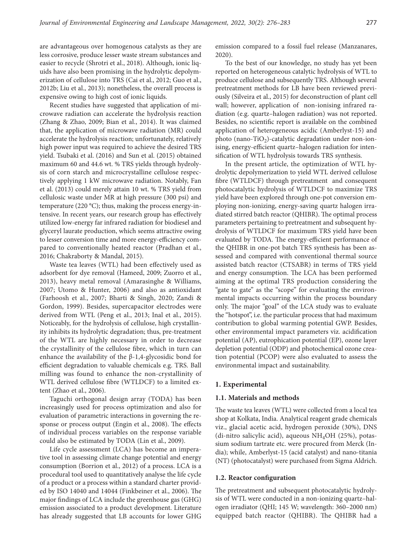are advantageous over homogenous catalysts as they are less corrosive, produce lesser waste stream substances and easier to recycle (Shrotri et al., 2018). Although, ionic liquids have also been promising in the hydrolytic depolymerization of cellulose into TRS (Cai et al., 2012; Guo et al., 2012b; Liu et al., 2013); nonetheless, the overall process is expensive owing to high cost of ionic liquids.

Recent studies have suggested that application of microwave radiation can accelerate the hydrolysis reaction (Zhang & Zhao, 2009; Bian et al., 2014). It was claimed that, the application of microwave radiation (MR) could accelerate the hydrolysis reaction; unfortunately, relatively high power input was required to achieve the desired TRS yield. Tsubaki et al. (2016) and Sun et al. (2015) obtained maximum 60 and 44.6 wt. % TRS yields through hydrolysis of corn starch and microcrystalline cellulose respectively applying 1 kW microwave radiation. Notably, Fan et al. (2013) could merely attain 10 wt. % TRS yield from cellulosic waste under MR at high pressure (300 psi) and temperature (220 °C); thus, making the process energy-intensive. In recent years, our research group has effectively utilized low-energy far infrared radiation for biodiesel and glyceryl laurate production, which seems attractive owing to lesser conversion time and more energy-efficiency compared to conventionally heated reactor (Pradhan et al., 2016; Chakraborty & Mandal, 2015).

Waste tea leaves (WTL) had been effectively used as adsorbent for dye removal (Hameed, 2009; Zuorro et al., 2013), heavy metal removal (Amarasinghe & Williams, 2007; Utomo & Hunter, 2006) and also as antioxidant (Farhoosh et al., 2007; Bharti & Singh, 2020; Zandi & Gordon, 1999). Besides, supercapacitor electrodes were derived from WTL (Peng et al., 2013; Inal et al., 2015). Noticeably, for the hydrolysis of cellulose, high crystallinity inhibits its hydrolytic degradation; thus, pre-treatment of the WTL are highly necessary in order to decrease the crystallinity of the cellulose fibre, which in turn can enhance the availability of the  $\beta$ -1,4-glycosidic bond for efficient degradation to valuable chemicals e.g. TRS. Ball milling was found to enhance the non-crystallinity of WTL derived cellulose fibre (WTLDCF) to a limited extent (Zhao et al., 2006).

Taguchi orthogonal design array (TODA) has been increasingly used for process optimization and also for evaluation of parametric interactions in governing the response or process output (Engin et al., 2008). The effects of individual process variables on the response variable could also be estimated by TODA (Lin et al., 2009).

Life cycle assessment (LCA) has become an imperative tool in assessing climate change potential and energy consumption (Borrion et al., 2012) of a process. LCA is a procedural tool used to quantitatively analyse the life cycle of a product or a process within a standard charter provided by ISO 14040 and 14044 (Finkbeiner et al., 2006). The major findings of LCA include the greenhouse gas (GHG) emission associated to a product development. Literature has already suggested that LB accounts for lower GHG

emission compared to a fossil fuel release (Manzanares, 2020).

To the best of our knowledge, no study has yet been reported on heterogeneous catalytic hydrolysis of WTL to produce cellulose and subsequently TRS. Although several pretreatment methods for LB have been reviewed previously (Silveira et al., 2015) for deconstruction of plant cell wall; however, application of non-ionising infrared radiation (e.g. quartz–halogen radiation) was not reported. Besides, no scientific report is available on the combined application of heterogeneous acidic (Amberlyst-15) and photo (nano-TiO<sub>2</sub>)-catalytic degradation under non-ionising, energy-efficient quartz–halogen radiation for intensification of WTL hydrolysis towards TRS synthesis.

In the present article, the optimization of WTL hydrolytic depolymerization to yield WTL derived cellulose fibre (WTLDCF) through pretreatment and consequent photocatalytic hydrolysis of WTLDCF to maximize TRS yield have been explored through one-pot conversion employing non-ionizing, energy-saving quartz halogen irradiated stirred batch reactor (QHIBR). The optimal process parameters pertaining to pretreatment and subsequent hydrolysis of WTLDCF for maximum TRS yield have been evaluated by TODA. The energy-efficient performance of the QHIBR in one-pot batch TRS synthesis has been assessed and compared with conventional thermal source assisted batch reactor (CTSABR) in terms of TRS yield and energy consumption. The LCA has been performed aiming at the optimal TRS production considering the "gate to gate" as the "scope" for evaluating the environmental impacts occurring within the process boundary only. The major "goal" of the LCA study was to evaluate the "hotspot", i.e. the particular process that had maximum contribution to global warming potential GWP. Besides, other environmental impact parameters viz. acidification potential (AP), eutrophication potential (EP), ozone layer depletion potential (ODP) and photochemical ozone creation potential (PCOP) were also evaluated to assess the environmental impact and sustainability.

# **1. Experimental**

## **1.1. Materials and methods**

The waste tea leaves (WTL) were collected from a local tea shop at Kolkata, India. Analytical reagent grade chemicals viz., glacial acetic acid, hydrogen peroxide (30%), DNS (di-nitro salicylic acid), aqueous  $NH<sub>4</sub>OH$  (25%), potassium sodium tartrate etc. were procured from Merck (India); while, Amberlyst-15 (acid catalyst) and nano-titania (NT) (photocatalyst) were purchased from Sigma Aldrich.

#### **1.2. Reactor configuration**

The pretreatment and subsequent photocatalytic hydrolysis of WTL were conducted in a non-ionizing quartz–halogen irradiator (QHI; 145 W; wavelength: 360–2000 nm) equipped batch reactor (QHIBR). The QHIBR had a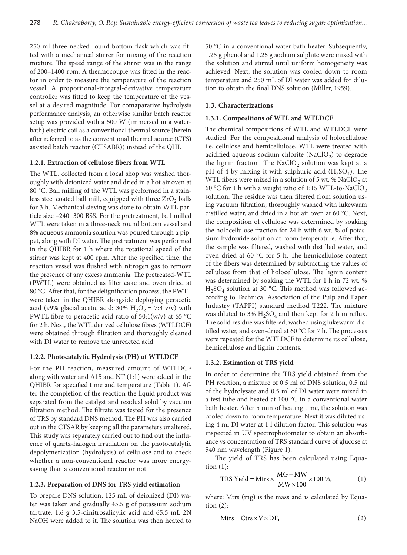250 ml three-necked round bottom flask which was fitted with a mechanical stirrer for mixing of the reaction mixture. The speed range of the stirrer was in the range of 200–1400 rpm. A thermocouple was fitted in the reactor in order to measure the temperature of the reaction vessel. A proportional-integral-derivative temperature controller was fitted to keep the temperature of the vessel at a desired magnitude. For comaparative hydrolysis performance analysis, an otherwise similar batch reactor setup was provided with a 500 W (immersed in a waterbath) electric coil as a conventional thermal source (herein after referred to as the conventional thermal source (CTS) assisted batch reactor (CTSABR)) instead of the QHI.

### **1.2.1. Extraction of cellulose fibers from WTL**

The WTL, collected from a local shop was washed thoroughly with deionized water and dried in a hot air oven at 80 °C. Ball milling of the WTL was performed in a stainless steel coated ball mill, equipped with three  $ZrO<sub>2</sub>$  balls for 3 h. Mechanical sieving was done to obtain WTL particle size –240+300 BSS. For the pretreatment, ball milled WTL were taken in a three-neck round bottom vessel and 8% aqueous ammonia solution was poured through a pippet, along with DI water. The pretreatment was performed in the QHIBR for 1 h where the rotational speed of the stirrer was kept at 400 rpm. After the specified time, the reaction vessel was flushed with nitrogen gas to remove the presence of any excess ammonia. The pretreated-WTL (PWTL) were obtained as filter cake and oven dried at 80 °C. After that, for the delignification process, the PWTL were taken in the QHIBR alongside deploying peracetic acid (99% glacial acetic acid: 30%  $H_2O_2 = 7:3$  v/v) with PWTL fibre to peracetic acid ratio of  $50:1(w/v)$  at 65 °C for 2 h. Next, the WTL derived cellulose fibres (WTLDCF) were obtained through filtration and thoroughly cleaned with DI water to remove the unreacted acid.

# **1.2.2. Photocatalytic Hydrolysis (PH) of WTLDCF**

For the PH reaction, measured amount of WTLDCF along with water and A15 and NT (1:1) were added in the QHIBR for specified time and temperature (Table 1). After the completion of the reaction the liquid product was separated from the catalyst and residual solid by vacuum filtration method. The filtrate was tested for the presence of TRS by standard DNS method. The PH was also carried out in the CTSAR by keeping all the parameters unaltered. This study was separately carried out to find out the influence of quartz-halogen irradiation on the photocatalytic depolymerization (hydrolysis) of cellulose and to check whether a non-conventional reactor was more energysaving than a conventional reactor or not.

## **1.2.3. Preparation of DNS for TRS yield estimation**

To prepare DNS solution, 125 mL of deionized (DI) water was taken and gradually 45.5 g of potassium sodium tartrate, 1.6 g 3,5-dinitrosalicylic acid and 65.5 mL 2N NaOH were added to it. The solution was then heated to 50 °C in a conventional water bath heater. Subsequently, 1.25 g phenol and 1.25 g sodium sulphite were mixed with the solution and stirred until uniform homogeneity was achieved. Next, the solution was cooled down to room temperature and 250 mL of DI water was added for dilution to obtain the final DNS solution (Miller, 1959).

### **1.3. Characterizations**

# **1.3.1. Compositions of WTL and WTLDCF**

The chemical compositions of WTL and WTLDCF were studied. For the compositional analysis of holocellulose i.e, cellulose and hemicellulose, WTL were treated with acidified aqueous sodium chlorite (NaClO<sub>2</sub>) to degrade the lignin fraction. The NaClO<sub>2</sub> solution was kept at a pH of 4 by mixing it with sulphuric acid  $(H_2SO_4)$ . The WTL fibers were mixed in a solution of 5 wt. %  $NaClO<sub>2</sub>$  at 60 °C for 1 h with a weight ratio of 1:15 WTL-to-NaClO<sub>2</sub> solution. The residue was then filtered from solution using vacuum filtration, thoroughly washed with lukewarm distilled water, and dried in a hot air oven at 60 °C. Next, the composition of cellulose was determined by soaking the holocellulose fraction for 24 h with 6 wt. % of potassium hydroxide solution at room temperature. After that, the sample was filtered, washed with distilled water, and oven-dried at 60 °C for 5 h. The hemicellulose content of the fibers was determined by subtracting the values of cellulose from that of holocellulose. The lignin content was determined by soaking the WTL for 1 h in 72 wt. %  $H<sub>2</sub>SO<sub>4</sub>$  solution at 30 °C. This method was followed according to Technical Association of the Pulp and Paper Industry (TAPPI) standard method T222. The mixture was diluted to 3%  $H_2SO_4$  and then kept for 2 h in reflux. The solid residue was filtered, washed using lukewarm distilled water, and oven-dried at 60 °C for 7 h. The processes were repeated for the WTLDCF to determine its cellulose, hemicellulose and lignin contents.

# **1.3.2. Estimation of TRS yield**

In order to determine the TRS yield obtained from the PH reaction, a mixture of 0.5 ml of DNS solution, 0.5 ml of the hydrolysate and 0.5 ml of DI water were mixed in a test tube and heated at 100 °C in a conventional water bath heater. After 5 min of heating time, the solution was cooled down to room temperature. Next it was diluted using 4 ml DI water at 1 l dilution factor. This solution was inspected in UV spectrophotometer to obtain an absorbance vs concentration of TRS standard curve of glucose at 540 nm wavelength (Figure 1).

The yield of TRS has been calculated using Equation  $(1)$ :

$$
TRS Yield = Mtrs \times \frac{MG - MW}{MW \times 100} \times 100 \%,
$$
 (1)

where: Mtrs (mg) is the mass and is calculated by Equation (2):

$$
Mtrs = Ctrs \times V \times DF,
$$
 (2)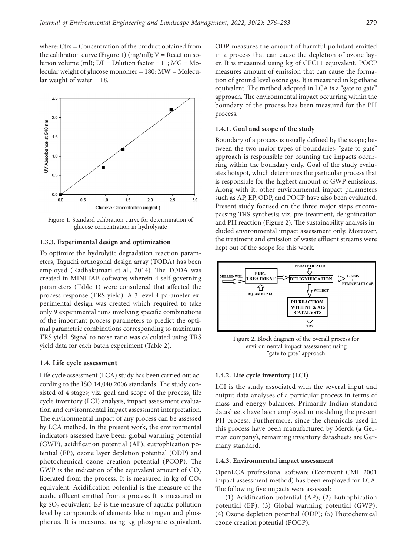where: Ctrs = Concentration of the product obtained from the calibration curve (Figure 1) (mg/ml);  $V =$  Reaction solution volume (ml);  $DF = Dilution factor = 11$ ;  $MG = Mo$ lecular weight of glucose monomer = 180; MW = Molecular weight of water = 18.



Figure 1. Standard calibration curve for determination of glucose concentration in hydrolysate

### **1.3.3. Experimental design and optimization**

To optimize the hydrolytic degradation reaction parameters, Taguchi orthogonal design array (TODA) has been employed (Radhakumari et al., 2014). The TODA was created in MINITAB software; wherein 4 self-governing parameters (Table 1) were considered that affected the process response (TRS yield). A 3 level 4 parameter experimental design was created which required to take only 9 experimental runs involving specific combinations of the important process parameters to predict the optimal parametric combinations corresponding to maximum TRS yield. Signal to noise ratio was calculated using TRS yield data for each batch experiment (Table 2).

### **1.4. Life cycle assessment**

Life cycle assessment (LCA) study has been carried out according to the ISO 14,040:2006 standards. The study consisted of 4 stages; viz. goal and scope of the process, life cycle inventory (LCI) analysis, impact assessment evaluation and environmental impact assessment interpretation. The environmental impact of any process can be assessed by LCA method. In the present work, the environmental indicators assessed have been: global warming potential (GWP), acidification potential (AP), eutrophication potential (EP), ozone layer depletion potential (ODP) and photochemical ozone creation potential (PCOP). The GWP is the indication of the equivalent amount of  $CO<sub>2</sub>$ liberated from the process. It is measured in kg of  $CO<sub>2</sub>$ equivalent. Acidification potential is the measure of the acidic effluent emitted from a process. It is measured in  $kg SO<sub>2</sub>$  equivalent. EP is the measure of aquatic pollution level by compounds of elements like nitrogen and phosphorus. It is measured using kg phosphate equivalent. ODP measures the amount of harmful pollutant emitted in a process that can cause the depletion of ozone layer. It is measured using kg of CFC11 equivalent. POCP measures amount of emission that can cause the formation of ground level ozone gas. It is measured in kg ethane equivalent. The method adopted in LCA is a "gate to gate" approach. The environmental impact occurring within the boundary of the process has been measured for the PH process.

# **1.4.1. Goal and scope of the study**

Boundary of a process is usually defined by the scope; between the two major types of boundaries, "gate to gate" approach is responsible for counting the impacts occurring within the boundary only. Goal of the study evaluates hotspot, which determines the particular process that is responsible for the highest amount of GWP emissions. Along with it, other environmental impact parameters such as AP, EP, ODP, and POCP have also been evaluated. Present study focused on the three major steps encompassing TRS synthesis; viz. pre-treatment, delignification and PH reaction (Figure 2). The sustainability analysis included environmental impact assessment only. Moreover, the treatment and emission of waste effluent streams were kept out of the scope for this work.



Figure 2. Block diagram of the overall process for environmental impact assessment using "gate to gate" approach

#### **1.4.2. Life cycle inventory (LCI)**

LCI is the study associated with the several input and output data analyses of a particular process in terms of mass and energy balances. Primarily Indian standard datasheets have been employed in modeling the present PH process. Furthermore, since the chemicals used in this process have been manufactured by Merck (a German company), remaining inventory datasheets are Germany standard.

#### **1.4.3. Environmental impact assessment**

OpenLCA professional software (Ecoinvent CML 2001 impact assessment method) has been employed for LCA. The following five impacts were assessed:

(1) Acidification potential (AP); (2) Eutrophication potential (EP); (3) Global warming potential (GWP); (4) Ozone depletion potential (ODP); (5) Photochemical ozone creation potential (POCP).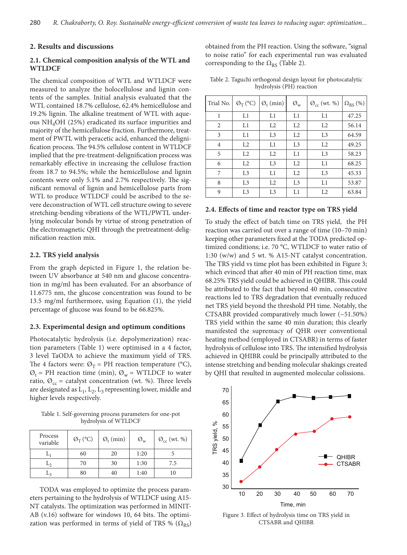# **2. Results and discussions**

# **2.1. Chemical composition analysis of the WTL and WTLDCF**

The chemical composition of WTL and WTLDCF were measured to analyze the holocellulose and lignin contents of the samples. Initial analysis evaluated that the WTL contained 18.7% cellulose, 62.4% hemicellulose and 19.2% lignin. The alkaline treatment of WTL with aqueous NH4OH (25%) eradicated its surface impurities and majority of the hemicellulose fraction. Furthermore, treatment of PWTL with peracetic acid, enhanced the delignification process. The 94.5% cellulose content in WTLDCF implied that the pre-treatment-delignification process was remarkably effective in increasing the cellulose fraction from 18.7 to 94.5%; while the hemicellulose and lignin contents were only 5.1% and 2.7% respectively. The significant removal of lignin and hemicellulose parts from WTL to produce WTLDCF could be ascribed to the severe deconstruction of WTL cell structure owing to severe stretching-bending vibrations of the WTL/PWTL underlying molecular bonds by virtue of strong penetration of the electromagnetic QHI through the pretreatment-delignification reaction mix.

# **2.2. TRS yield analysis**

From the graph depicted in Figure 1, the relation between UV absorbance at 540 nm and glucose concentration in mg/ml has been evaluated. For an absorbance of 11.6775 nm, the glucose concentration was found to be 13.5 mg/ml furthermore, using Equation (1), the yield percentage of glucose was found to be 66.825%.

### **2.3. Experimental design and optimum conditions**

Photocatalytic hydrolysis (i.e. depolymerization) reaction parameters (Table 1) were optimised in a 4 factor, 3 level TaODA to achieve the maximum yield of TRS. The 4 factors were:  $\mathcal{O}_T$  = PH reaction temperature (°C),  $\mathcal{O}_t$  = PH reaction time (min),  $\mathcal{O}_w$  = WTLDCF to water ratio,  $\mathcal{O}_{cc}$  = catalyst concentration (wt. %). Three levels are designated as  $L_1$ ,  $L_2$ ,  $L_3$  representing lower, middle and higher levels respectively.

Table 1. Self-governing process parameters for one-pot hydrolysis of WTLDCF

| Process<br>variable | $\mathcal{O}_T$ (°C) | $\mathcal{O}_t$ (min) | $\emptyset_{\rm w}$ | $\mathcal{O}_{\text{cc}}$ (wt. %) |
|---------------------|----------------------|-----------------------|---------------------|-----------------------------------|
|                     | 60                   | 20                    | 1:20                |                                   |
|                     | 70                   | 30                    | 1:30                | 7.5                               |
|                     | 80                   | 40                    | 1:40                | 10                                |

TODA was employed to optimize the process parameters pertaining to the hydrolysis of WTLDCF using A15- NT catalysts. The optimization was performed in MINIT-AB (v.16) software for windows 10, 64 bits. The optimization was performed in terms of yield of TRS %  $(\Omega_{RS})$  obtained from the PH reaction. Using the software, "signal to noise ratio" for each experimental run was evaluated corresponding to the  $\Omega_{RS}$  (Table 2).

|  | Table 2. Taguchi orthogonal design layout for photocatalytic |  |  |  |
|--|--------------------------------------------------------------|--|--|--|
|  | hydrolysis (PH) reaction                                     |  |  |  |

| Trial No. | $\mathcal{O}_{\mathrm{T}}$ (°C) | $\mathcal{O}_t$ (min) | $\emptyset_{\rm w}$ | $\mathcal{O}_{cc}$ (wt. %) | $\Omega_{RS}(\%)$ |
|-----------|---------------------------------|-----------------------|---------------------|----------------------------|-------------------|
| 1         | L1                              | L1                    | L1                  | L1                         | 47.25             |
| 2         | L1                              | L2                    | L2                  | L2                         | 56.14             |
| 3         | L1                              | L <sub>3</sub>        | L2                  | L <sub>3</sub>             | 64.59             |
| 4         | L2                              | L1                    | L <sub>3</sub>      | L2                         | 49.25             |
| 5         | L2                              | L2                    | L1                  | L <sub>3</sub>             | 58.23             |
| 6         | L2                              | L <sub>3</sub>        | L2                  | L1                         | 68.25             |
| 7         | L <sub>3</sub>                  | L1                    | L2                  | L <sub>3</sub>             | 45.33             |
| 8         | L <sub>3</sub>                  | L2                    | L <sub>3</sub>      | L1                         | 53.87             |
| 9         | L3                              | L3                    | L1                  | L <sub>2</sub>             | 63.84             |

### **2.4. Effects of time and reactor type on TRS yield**

To study the effect of batch time on TRS yield, the PH reaction was carried out over a range of time (10–70 min) keeping other parameters fixed at the TODA predicted optimized conditions; i.e. 70 °C, WTLDCF to water ratio of 1:30 (w/w) and 5 wt. % A15-NT catalyst concentration. The TRS yield vs time plot has been exhibited in Figure 3; which evinced that after 40 min of PH reaction time, max 68.25% TRS yield could be achieved in QHIBR. This could be attributed to the fact that beyond 40 min, consecutive reactions led to TRS degradation that eventually reduced net TRS yield beyond the threshold PH time. Notably, the CTSABR provided comparatively much lower (~51.50%) TRS yield within the same 40 min duration; this clearly manifested the supremacy of QHR over conventional heating method (employed in CTSABR) in terms of faster hydrolysis of cellulose into TRS. The intensified hydrolysis achieved in QHIBR could be principally attributed to the intense stretching and bending molecular shakings created by QHI that resulted in augmented molecular colissions.



Figure 3. Effect of hydrolysis time on TRS yield in CTSABR and QHIBR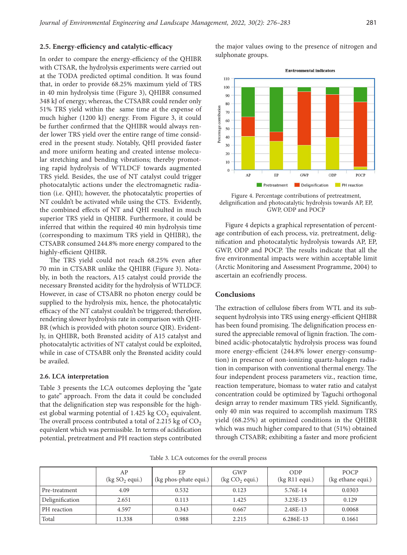# **2.5. Energy-efficiency and catalytic-efficacy**

In order to compare the energy-efficiency of the QHIBR with CTSAR, the hydrolysis experiments were carried out at the TODA predicted optimal condition. It was found that, in order to provide 68.25% maximum yield of TRS in 40 min hydrolysis time (Figure 3), QHIBR consumed 348 kJ of energy; whereas, the CTSABR could render only 51% TRS yield within the same time at the expense of much higher (1200 kJ) energy. From Figure 3, it could be further confirmed that the QHIBR would always render lower TRS yield over the entire range of time considered in the present study. Notably, QHI provided faster and more uniform heating and created intense molecular stretching and bending vibrations; thereby promoting rapid hydrolysis of WTLDCF towards augmented TRS yield. Besides, the use of NT catalyst could trigger photocatalytic actions under the electromagnetic radiation (i.e. QHI); however, the photocatalytic properties of NT couldn't be activated while using the CTS. Evidently, the combined effects of NT and QHI resulted in much superior TRS yield in QHIBR. Furthermore, it could be inferred that within the required 40 min hydrolysis time (corresponding to maximum TRS yield in QHIBR), the CTSABR consumed 244.8% more energy compared to the highly-efficient QHIBR.

The TRS yield could not reach 68.25% even after 70 min in CTSABR unlike the QHIBR (Figure 3). Notably, in both the reactors, A15 catalyst could provide the necessary Brønsted acidity for the hydrolysis of WTLDCF. However, in case of CTSABR no photon energy could be supplied to the hydrolysis mix, hence, the photocatalytic efficacy of the NT catalyst couldn't be triggered; therefore, rendering slower hydrolysis rate in comparison with QHI-BR (which is provided with photon source QIR). Evidently, in QHIBR, both Brønsted acidity of A15 catalyst and photocatalytic activities of NT catalyst could be exploited, while in case of CTSABR only the Brønsted acidity could be availed.

#### **2.6. LCA interpretation**

Table 3 presents the LCA outcomes deploying the "gate to gate" approach. From the data it could be concluded that the delignification step was responsible for the highest global warming potential of 1.425 kg  $\rm CO_2$  equivalent. The overall process contributed a total of 2.215 kg of  $CO<sub>2</sub>$ equivalent which was permissible. In terms of acidification potential, pretreatment and PH reaction steps contributed

the major values owing to the presence of nitrogen and sulphonate groups.



Figure 4. Percentage contributions of pretreatment, delignification and photocatalytic hydrolysis towards AP, EP, GWP, ODP and POCP

Figure 4 depicts a graphical representation of percentage contribution of each process, viz. pretreatment, delignification and photocatalytic hydrolysis towards AP, EP, GWP, ODP and POCP. The results indicate that all the five environmental impacts were within acceptable limit (Arctic Monitoring and Assessment Programme, 2004) to ascertain an ecofriendly process.

# **Conclusions**

The extraction of cellulose fibers from WTL and its subsequent hydrolysis into TRS using energy-efficient QHIBR has been found promising. The delignification process ensured the appreciable removal of lignin fraction. The combined acidic-photocatalytic hydrolysis process was found more energy-efficient (244.8% lower energy-consumption) in presence of non-ionizing quartz-halogen radiation in comparison with conventional thermal energy. The four independent process parameters viz., reaction time, reaction temperature, biomass to water ratio and catalyst concentration could be optimized by Taguchi orthogonal design array to render maximum TRS yield. Significantly, only 40 min was required to accomplish maximum TRS yield (68.25%) at optimized conditions in the QHIBR which was much higher compared to that (51%) obtained through CTSABR; exhibiting a faster and more proficient

Table 3. LCA outcomes for the overall process

|                 | AP<br>$\log SO_2$ equi.) | ЕP<br>(kg phos-phate equi.) | GWP<br>$(\text{kg CO}_2 \text{ equi.})$ | ODP<br>(kg R11 equi.) | POCP<br>(kg ethane equi.) |
|-----------------|--------------------------|-----------------------------|-----------------------------------------|-----------------------|---------------------------|
| Pre-treatment   | 4.09                     | 0.532                       | 0.123                                   | 5.76E-14              | 0.0303                    |
| Delignification | 2.651                    | 0.113                       | 1.425                                   | $3.23E - 13$          | 0.129                     |
| PH reaction     | 4.597                    | 0.343                       | 0.667                                   | 2.48E-13              | 0.0068                    |
| Total           | 11.338                   | 0.988                       | 2.215                                   | 6.286E-13             | 0.1661                    |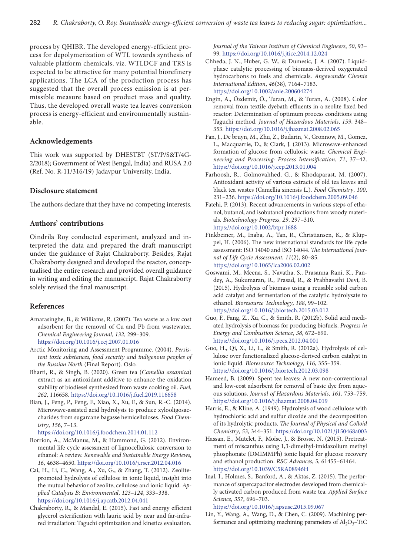process by QHIBR. The developed energy-efficient process for depolymerization of WTL towards synthesis of valuable platform chemicals, viz. WTLDCF and TRS is expected to be attractive for many potential biorefinery applications. The LCA of the production process has suggested that the overall process emission is at permissible measure based on product mass and quality. Thus, the developed overall waste tea leaves conversion process is energy-efficient and environmentally sustainable.

# **Acknowledgements**

This work was supported by DHESTBT (ST/P/S&T/4G-2/2018); Government of West Bengal, India) and RUSA 2.0 (Ref. No. R-11/316/19) Jadavpur University, India.

# **Disclosure statement**

The authors declare that they have no competing interests.

# **Authors' contributions**

Oindrila Roy conducted experiment, analyzed and interpreted the data and prepared the draft manuscript under the guidance of Rajat Chakraborty. Besides, Rajat Chakraborty designed and developed the reactor, conceptualised the entire research and provided overall guidance in writing and editing the manuscript. Rajat Chakraborty solely revised the final manuscript.

# **References**

- Amarasinghe, B., & Williams, R. (2007). Tea waste as a low cost adsorbent for the removal of Cu and Pb from wastewater. *Chemical Engineering Journal*, *132*, 299–309. <https://doi.org/10.1016/j.cej.2007.01.016>
- Arctic Monitoring and Assessment Programme. (2004). *Persistent toxic substances, food security and indigenous peoples of the Russian North* (Final Report). Oslo.
- Bharti, R., & Singh, B. (2020). Green tea (*Camellia assamica*) extract as an antioxidant additive to enhance the oxidation stability of biodiesel synthesized from waste cooking oil. *Fuel*, *262*, 116658. <https://doi.org/10.1016/j.fuel.2019.116658>
- Bian, J., Peng, P., Peng, F., Xiao, X., Xu, F., & Sun, R.-C. (2014). Microwave-assisted acid hydrolysis to produce xylooligosaccharides from sugarcane bagasse hemicelluloses. *Food Chemistry*, *156*, 7–13.

<https://doi.org/10.1016/j.foodchem.2014.01.112>

- Borrion, A., McManus, M., & Hammond, G. (2012). Environmental life cycle assessment of lignocellulosic conversion to ethanol: A review. *Renewable and Sustainable Energy Reviews*, *16*, 4638–4650. <https://doi.org/10.1016/j.rser.2012.04.016>
- Cai, H., Li, C., Wang, A., Xu, G., & Zhang, T. (2012). Zeolitepromoted hydrolysis of cellulose in ionic liquid, insight into the mutual behavior of zeolite, cellulose and ionic liquid. *Applied Catalysis B: Environmental*, *123*–*124*, 333–338. <https://doi.org/10.1016/j.apcatb.2012.04.041>
- Chakraborty, R., & Mandal, E. (2015). Fast and energy efficient glycerol esterification with lauric acid by near and far-infrared irradiation: Taguchi optimization and kinetics evaluation.

*Journal of the Taiwan Institute of Chemical Engineers*, *50*, 93– 99. <https://doi.org/10.1016/j.jtice.2014.12.024>

- Chheda, J. N., Huber, G. W., & Dumesic, J. A. (2007). Liquidphase catalytic processing of biomass-derived oxygenated hydrocarbons to fuels and chemicals. *Angewandte Chemie International Edition*, *46*(38), 7164–7183. <https://doi.org/10.1002/anie.200604274>
- Engin, A., Özdemir, Ö., Turan, M., & Turan, A. (2008). Color removal from textile dyebath effluents in a zeolite fixed bed reactor: Determination of optimum process conditions using Taguchi method. *Journal of Hazardous Materials*, *159*, 348– 353. <https://doi.org/10.1016/j.jhazmat.2008.02.065>
- Fan, J., De bruyn, M., Zhu, Z., Budarin, V., Gronnow, M., Gomez, L., Macquarrie, D., & Clark, J. (2013). Microwave-enhanced formation of glucose from cellulosic waste*. Chemical Engineering and Processing: Process Intensification*, *71*, 37–42. <https://doi.org/10.1016/j.cep.2013.01.004>
- Farhoosh, R., Golmovahhed, G., & Khodaparast, M. (2007). Antioxidant activity of various extracts of old tea leaves and black tea wastes (Camellia sinensis L.). *Food Chemistry*, *100*, 231–236. <https://doi.org/10.1016/j.foodchem.2005.09.046>
- Fatehi, P. (2013). Recent advancements in various steps of ethanol, butanol, and isobutanol productions from woody materials. *Biotechnology Progress*, *29*, 297–310. <https://doi.org/10.1002/btpr.1688>
- Finkbeiner, M., Inaba, A., Tan, R., Christiansen, K., & Klüppel, H. **(**2006). The new international standards for life cycle assessment: ISO 14040 and ISO 14044. *The International Journal of Life Cycle Assessment*, *11*(2), 80–85. <https://doi.org/10.1065/lca2006.02.002>
- Goswami, M., Meena, S., Navatha, S., Prasanna Rani, K., Pandey, A., Sukumaran, R., Prasad, R., & Prabhavathi Devi, B. (2015). Hydrolysis of biomass using a reusable solid carbon acid catalyst and fermentation of the catalytic hydrolysate to ethanol. *Bioresource Technology*, *188*, 99–102. <https://doi.org/10.1016/j.biortech.2015.03.012>
- Guo, F., Fang, Z., Xu, C., & Smith, R. (2012b). Solid acid mediated hydrolysis of biomass for producing biofuels. *Progress in Energy and Combustion Science*, *38*, 672–690. <https://doi.org/10.1016/j.pecs.2012.04.001>
- Guo, H., Qi, X., Li, L., & Smith, R. (2012a). Hydrolysis of cellulose over functionalized glucose-derived carbon catalyst in ionic liquid. *Bioresource Technology*, *116*, 355–359. <https://doi.org/10.1016/j.biortech.2012.03.098>
- Hameed, B. (2009). Spent tea leaves: A new non-conventional and low-cost adsorbent for removal of basic dye from aqueous solutions. *Journal of Hazardous Materials*, *161*, 753–759. <https://doi.org/10.1016/j.jhazmat.2008.04.019>
- Harris, E., & Kline, A. (1949). Hydrolysis of wood cellulose with hydrochloric acid and sulfur dioxide and the decomposition of its hydrolytic products. *The Journal of Physical and Colloid Chemistry*, *53*, 344–351. <https://doi.org/10.1021/j150468a003>
- Hassan, E., Mutelet, F., Moïse, J., & Brosse, N. (2015). Pretreatment of miscanthus using 1,3-dimethyl-imidazolium methyl phosphonate (DMIMMPh) ionic liquid for glucose recovery and ethanol production. *RSC Advances*, *5*, 61455–61464. <https://doi.org/10.1039/C5RA08946H>
- Inal, I., Holmes, S., Banford, A., & Aktas, Z. (2015). The performance of supercapacitor electrodes developed from chemically activated carbon produced from waste tea. *Applied Surface Science*, *357*, 696–703.

<https://doi.org/10.1016/j.apsusc.2015.09.067>

Lin, Y., Wang, A., Wang, D., & Chen, C. (2009). Machining performance and optimizing machining parameters of  $Al_2O_3$ -TiC